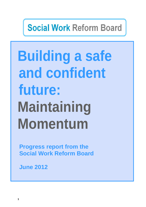# **Social Work Reform Board**

# **Building a safe and confident future: Maintaining Momentum**

**Progress report from the Social Work Reform Board** 

**June 2012**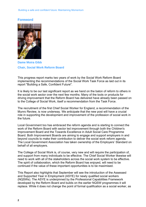# **Foreword**



**Dame Moira Gibb Chair, Social Work Reform Board** 

This progress report marks two years of work by the Social Work Reform Board implementing the recommendations of the Social Work Task Force as laid out in its report "Building a Safe, Confident Future".

It is likely to be our last significant report as we hand on the baton of reform to others in the social work sector over the next few months. Many of the tools or products for driving improvement that the Reform Board has delivered have already been passed on to the College of Social Work, itself a recommendation from the Task Force.

The recruitment of the first Chief Social Worker for England, a recommendation of the Munro Review, is now underway. We anticipate that the new post will have a crucial role in supporting the development and improvement of the profession of social work in the future.

Local Government too has embraced the reform agenda and is starting to connect the work of the Reform Board with sector led improvement through both the Children's Improvement Board and the Towards Excellence in Adult Social Care Programme Board. Both Improvement Boards are aiming to engage and support employers in and beyond councils to make their contribution to deliver the social work reform agenda. The Local Government Association has taken ownership of the Employers' Standard on behalf of all employers.

The College of Social Work is, of course, very new and will require the participation of, and support from many individuals to be effective. The Chief Social Worker likewise will need to work with all of the stakeholders across the social work system to be effective. The spirit of collaboration, which the Reform Board has enjoyed, will need to be continued if the value of these important opportunities is to be maximised.

This Report also highlights that September will see the introduction of the Assessed and Supported Year in Employment (ASYE) for newly qualified social workers (NQSWs). The ASYE is underpinned by the Professional Capabilities Framework developed by the Reform Board and builds on the earlier NQSW programmes it will replace. While it does not change the point of formal qualification as a social worker, as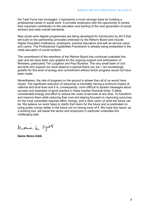the Task Force had envisaged, it represents a much stronger base for building a professional career in social work. It provides employers with the opportunity to review their important contribution to the education and training of the next generation of social workers and raise overall standards.

New social work degree programmes are being developed for introduction by 2013 that will build on the partnership principles endorsed by the Reform Board and include Higher Education Institutions, employers, practice educators and well as service users and carers. The Professional Capabilities Framework is already being embedded in the initial education of social workers.

The commitment of the members of the Reform Board has continued unabated this year and we have been very grateful for the ongoing support and enthusiasm of Ministers, particularly Tim Loughton and Paul Burstow. The very small team of civil servants who support our work deserve a special thank you too. I am exceedingly grateful for this level of energy and commitment without which progress would not have been made.

Nevertheless, the rate of progress on the ground is slower than all of us would have hoped. The significant reduction of resources is inevitably having a profound impact at national and local level and it is, consequently, more difficult to spread messages about success and examples of good practice in these harsher financial times. It takes considerable energy and effort to reduce the costs of services at any time. To transform and improve them while reducing their cost and staying focused on improving outcomes for the most vulnerable requires effort, energy, and a clear vision of what the future can be. We believe our work helps to clarify that vision for the future and is predicated on using public money better in the future not on having more of it. We hope this report, as a working tool, will assist the sector and employers in particular undertake this challenging task.

Monn h grov

**Dame Moira Gibb**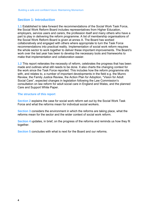# **Section 1: Introduction**

**1.1** Established to take forward the recommendations of the Social Work Task Force, the Social Work Reform Board includes representatives from Higher Education, employers, service users and carers, the profession itself and many others who have a part to play in delivering the reform programme. A list of membership organisations of the Social Work Reform Board is given at annex A. The Board has worked collaboratively and engaged with others where appropriate to turn the Task Force recommendations into practical reality. Implementation of social work reform requires the whole sector to work together to deliver these important improvements. The Board's work over the last year has been to develop the necessary tools and frameworks to make that implementation and collaboration easier.

**1.2** This report reiterates the necessity of reform, celebrates the progress that has been made and outlines what still needs to be done. It also charts the changing context for the work since the Task Force reported. This includes how the reform programme sits with, and relates to, a number of important developments in the field e.g. the Munro Review, the Family Justice Review, the Action Plan for Adoption, "Vision for Adult Social Care", expected changes in legislation following the Law Commission's consultation on law reform for adult social care in England and Wales, and the planned Care and Support White Paper.

# **The structure of this report**

**Section 2** explains the case for social work reform set out by the Social Work Task Force and what the reforms mean for individual social workers.

 reforms mean for the sector and the wider context of social work reform. **Section 3** considers the environment in which the reforms are taking place, what the

**Section 4** updates, in brief, on the progress of the reforms and reminds us how they fit together.

**Section 5** concludes with what is next for the Board and our reforms.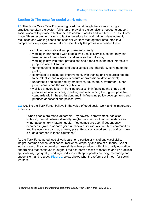# **Section 2: The case for social work reform**

**2.1** The Social Work Task Force recognised that although there was much good practice, too often the system fell short of providing the conditions needed to support social workers to provide effective help to children, adults and families. The Task Force made fifteen recommendations to tackle the education and training, development, regulation and working conditions of social workers that together amounted to a comprehensive programme of reform. Specifically the profession needed to be:

- confident about its values, purpose and identity;
- working in partnership with people who use its services, so that they can take control of their situation and improve the outcome;
- working jointly with other professions and agencies in the best interests of people in need of support;
- demonstrating its impact and effectiveness and, therefore, its value to the public;
- committed to continuous improvement, with training and resources needed to be effective and a vigorous culture of professional development;
- understood and supported by employers, educators, Government, other professionals and the wider public; and
- well led at every level: in frontline practice; in influencing the shape and priorities of local services; in setting and maintaining the highest possible standards within the profession; and in influencing policy developments and priorities at national and political level.

**2.2** We, like the Task Force, believe in the value of good social work and its importance to society.

"When people are made vulnerable – by poverty, bereavement, addiction, isolation, mental distress, disability, neglect, abuse, or other circumstances – what happens next matters hugely. If outcomes are poor, if dependency becomes ingrained or harm goes unchecked, individuals, families, communities and the economy can pay a heavy price. Good social workers can and do make a huge difference in these situations."<sup>1</sup>

As the Task Force noted, social work calls for a particular mix of analytical skills, insight, common sense, confidence, resilience, empathy and use of authority. Social workers are unlikely to develop these skills unless provided with high quality education and training that continues throughout their careers; access to research and its practical applications; high quality working conditions with appropriate coaching, mentoring and supervision, and respect. **Figure 1** below shows what the reforms will mean for social workers.

 <sup>1</sup>*Facing Up to the Task: the interim report of the Social Work Task Force* (July 2009).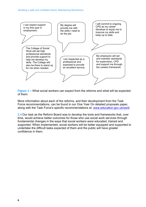

**Figure 1** – What social workers can expect from the reforms and what will be expected of them.

More information about each of the reforms, and their development from the Task Force recommendations, can be found in our One Year On detailed proposals paper, along with the Task Force's specific recommendations at: www.education.gov.uk/swrb

**2.4** Our task as the Reform Board was to develop the tools and frameworks that, over time, would achieve better outcomes for those who use social work services through fundamental changes in the ways that social workers were educated, trained and supported. When implemented, social workers will be better equipped and supported to undertake the difficult tasks expected of them and the public will have greater confidence in them.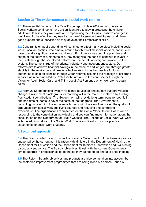# **Section 3: The wider context of social work reform**

**3.1** The essential findings of the Task Force report in late 2009 remain the same. Social workers continue to have a significant role to play in protecting the children, adults and families they work with and empowering them to make positive changes in their lives. To be effective they need to be carefully selected, well trained and given good support and supervision as they develop their professional skills.

**3.2** Constraints on public spending will continue to affect many services including social work. Local authorities, who employ around two thirds of all social workers, continue to have to make significant savings and very difficult decisions about the priorities and shape of their services. Nonetheless, they recognise the need to continue to invest in their staff through the social work reforms for the benefit of everyone involved in the system. The same is true of the private, voluntary and independent sectors. Our reforms aim to achieve financial savings in the medium and longer term through greater stability in the workforce and greater effectiveness. It may be possible for local authorities to gain efficiencies through wider reforms including the redesign of children's services as recommended by Professor Munro and in the adult sector through the Vision for Adult Social Care, and Think Local, Act Personal, which we refer to again below.

**3.3** From 2012, the funding system for higher education and student support will also change. Government block grants for teaching will in the main be replaced by funding from student contributions. The Government will provide long term loans for both full and part time students to cover the costs of their degrees. The Government is consulting on reforming the social work bursary with the aim of improving the quality of graduates from social work qualifying courses and reducing and controlling expenditure. The organisations represented on the Social Work Reform Board will be responding to the consultation individually and you can find more information about the consultation on the Department of Health website. The College of Social Work will work with the administrators of the Social Work Education Grant to improve practice placements for social work students.

# **A Sector Led approach**

**3.4** The Board started its work under the previous Government but has been vigorously supported by the current administration with Ministers in the Department of Health, the Department for Education and the Department for Business, Innovation and Skills being particularly supportive. The Board's objectives fit well with the current Government's aim to put trust in professionals to do the job they trained to do and take pride in doing.

**3.5** The Reform Board's objectives and products are also being taken into account by the sector led improvement programmes that are being rolled out across Councils'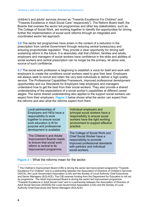children's and adults' services (known as "Towards Excellence For Children" and "Towards Excellence in Adult Social Care" respectively<sup>2</sup>). The Reform Board itself, the Boards that oversee the sector led programmes and other key stakeholders, such as The College of Social Work, are working together to identify the opportunities for driving further the implementation of social work reforms through an integrated and coordinated sector led approach.

 source of such confidence. **3.6** The sector led programmes have arisen in the context of a reduction in the prescription from central Government through reducing central bureaucracy and ensuring proportionate regulation. They provide a clear opportunity for driving selfsustaining reform in the future. It is absolutely vital that children, families and adults, employers and managers of social workers have confidence in the skills and abilities of social workers and central prescription can no longer be the primary, let alone sole,

**3.7** The social work profession is beginning to establish a voice for itself and work with employers to create the conditions social workers need to give their best. Employers will always seek to recruit and retain the very best individuals to deliver a high quality service. The Professional Capabilities Framework, improved professional development opportunities and our Standards for Employers help employers and managers understand how to get the best from their social workers. They also provide a shared understanding of the expectations of a social worker's capabilities at different career stages. The same shared understanding also applies to the support social workers can expect from their employers. **Figure 2** below shows what the sector can expect from the reforms and also what the reforms expect from them.

| Local partnerships of<br>Employers and HEIs have a<br>responsibility to work<br>together to ensure social<br>work education is fit for<br>purpose and professional<br>development is available. | Individual employers and<br>principal social workers have a<br>responsibility to ensure social<br>workers have the right working<br>environment to support effective<br>practice.      |  |
|-------------------------------------------------------------------------------------------------------------------------------------------------------------------------------------------------|----------------------------------------------------------------------------------------------------------------------------------------------------------------------------------------|--|
| The Children's and Adults'<br><b>Improvement Boards needs</b><br>to ensure that social work<br>reform is central to its<br>improvement programme.                                               | The College of Social Work and<br><b>Chief Social Worker have a</b><br>responsibility to promote<br>improved professional standards<br>with partners and individual<br>social workers. |  |

**Figure 2** – What the reforms mean for the sector.

 $\overline{a}$ 

 $2$  The Children's Improvement Board (CIB) is driving the sector led improvement programme "Towards Excellence For Children" and is a partnership between the Association of Directors of Children's Services (ADCS), the Local Government Association (LGA) and the Society of Local Authority Chief Executives and Senior Managers (SOLACE). The CIB receives funding from the Department for Education to roll out its programme. The Adult Improvement Board is driving the sector led improvement programme "Towards Excellence in Adult Social Care" and is a partnership between the Association of Directors of Adult Social Services (ADASS) the Local Government Association (LGA) and the Society of Local Authority Chief Executives and Senior Managers (SOLACE).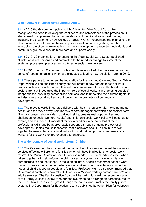#### **Wider context of social work reforms: Adults**

**3.8** In 2010 the Government published the Vision for Adult Social Care which recognised the need to develop the confidence and competence of the profession. It also agreed to implement the recommendations of the Social Work Task Force, including the creation of a new College of Social Work. It recognised the changing role of social workers with an emphasis on personalisation and integration, and the increasing role of social workers in community development, supporting individuals and community groups to provide more care and support locally.

**3.9** In 2010, 30 organisations representing the Adult Social Care Sector published "Think Local Act Personal" and committed to the need for change to some of the systems, processes, practices and cultures in social care delivery.

**3.10** In 2011 the Law Commission published its review of adult social care law with a series of recommendations which are expected to lead to new legislation later in 2012.

**3.11** These papers together set the foundation for the planned Care and Support White Paper which will be published shortly and will create a new context for social work practice with adults in the future. This will place social work firmly at the heart of adult social care. It will recognise the important role of social workers in promoting peoples' independence, providing personalised services, and in upholding their human rights. It will also look at social workers' contribution to the promotion of community development.

**3.12** The move towards integrated delivery with health professionals, including mental health, and the move away from models of care management which emphasised form filling and targets above wider social work skills, creates real opportunities and challenges for social workers. Adults' and children's social work policy will continue to evolve, and this makes it important for social workers to be confident of their professional skills and be appropriately supported through ongoing professional development. It also makes it essential that employers and HEIs continue to work together to ensure that social work education and training properly prepares social workers for the work they are expected to undertake.

#### **The Wider context of social work reform: Children**

**3.13** The Government has commissioned a number of reviews in the last two years on services affecting children and families which will have implications for social work reform. The Munro Review of Child Protection made 15 recommendations that, when taken together, will help reform the child protection system from one which is over bureaucratic to one that keeps its focus on children. Specific recommendations were made to create an environment where social workers would be able to focus on the needs of children, young people and families. Professor Munro also recommended that Government establish a new role of Chief Social Worker working across children's and adult's services. The Family Justice Board will be taking forward the recommendations of the Family Justice Review to reform the system to help strengthen parenting, reduce the time it takes cases to progress through the courts, and simplify the family justice system. The Department for Education recently published its Action Plan for Adoption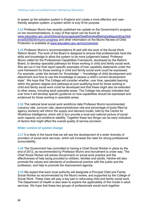to speed up the adoption system in England and create a more effective and userfriendly adoption system, a system which is truly fit for purpose.

**3.14** Professor Munro has recently published her update on the Government's progress on her recommendations. A copy of that report can be found at: www.education.gov.uk/childrenandyoungpeople/healthandwellbeing/safeguardingchildr en/a00209245/munro-progress and other information on the Munro Review of Child Protection is available at www.education.gov.uk/munroreview/

**3.15** Professor Munro's recommendations fit well with the work of the Social Work Reform Board. The work of the Board is designed to ensure that professionals have the skills and knowledge to allow the system to be more judgement based. Professor Munro called for the Professional Capabilities Framework, developed by the Reform Board, to develop specialist pathways for those working in child and family social work. She set out in her final report specific examples of how capability statements under the core framework for those working in child and family social work could be expressed. For example, under the domain for 'Knowledge' – "knowledge of child development and attachment and how to use this knowledge to assess a child's current development state". We hope that The College will consider whether, over time, specialist learning within the generic degree and pathways at post qualifying level for those working in child and family social work could be developed and that these might also be extended to other areas, including adult specialist areas. The College has already indicated that over time it will develop specific guidance on how capabilities should be expressed and evidenced for those working in specialist areas.

**3.16** The national level social work workforce data Professor Munro recommended (vacancy rate, turnover rate, absence/sickness rate and percentage of posts filled by agency workers) will inform the supply and demand model, held by the Centre for Workforce Intelligence, which will in turn provide a local and national picture of social work capacity and workforce stability. Together these two things can be early indicators of factors that might affect the overall quality of service provision.

# **Wider context of system change**

**3.17** It is likely in the future that we will see the development of a wider diversity of providers of social work services, which will increase the need for strong professional accountability.

**3.18** The Government has committed to having a Chief Social Worker in place by the end of 2012, as recommended by Professor Munro and recruitment is under way. The Chief Social Worker will advise Government on social work practice and the effectiveness of help being provided to children, families and adults. He/she will also promote the values and standards of professional practice with the public and the profession, and help to promote the improvement agenda.

**3.19** We expect that each local authority will designate a Principal Child and Family Social Worker as recommended by the Munro review, and supported by the College of Social Work. These roles will play a key part in refocusing child and family social work. The Department of Health is also keen to explore the applicability of this model in adult services. We hope that these two groups of professionals would work together.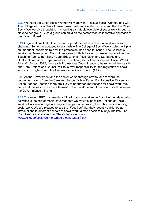**3.20** We hope the Chief Social Worker will work with Principal Social Workers and with The College of Social Work to take forward reform. We also recommend that the Chief Social Worker give thought to maintaining a strategic overview of social work through a stakeholder group. Such a group can build on the sector wide collaborative approach of the Reform Board.

**3.21** Organisations that influence and support the delivery of social work are also changing. Some have ceased to exist, while The College of Social Work, which will play an important leadership role for the profession, has been launched. The Children's Workforce Development Council has closed with its key work transferring to either the Teaching Agency (for Early Years, Educational Psychology and Standards and Qualifications) or the Department for Education (Sector Leadership and Social Work). From 01 August 2012, the Health Professions Council (soon to be renamed the Health and Care Professions Council) will take over responsibility for the regulation of social workers in England from the General Social Care Council (GSCC).

**3.22** As the Government and the sector works through how to take forward the recommendations from the Care and Support White Paper, Family Justice Review and Action Plan for Adoption there are likely to be further implications for social work. We hope that the lessons we have learned in the development of our reforms will underpin the Government's thinking.

**3.23** The recent BBC documentary following social workers in Bristol in their day-to-day activities is the sort of media coverage that we would expect The College of Social Work will also encourage and support, as part of improving the public understanding of social work. We are pleased to see the "Fact files" that they recently published as introductions to different aspects of social work, aimed specifically at journalists. The "Fact files" are available from The College website at: www.collegeofsocialwork.org/media-centre/fact-files/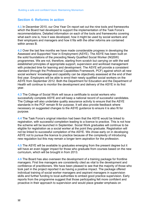# **Section 4: Reforms in action**

**4.1** In December 2010, our One Year On report set out the nine tools and frameworks which the Board had developed to support the implementation of the Task Force's recommendations. Detailed information on each of the tools and frameworks covering what each one is, how it was developed, how it might be used by social workers and their employers and managers and how it fits with the other reforms are contained within annex B.

**4.2** Over the last few months we have made considerable progress in developing the Assessed and Supported Year in Employment (ASYE). The ASYE has been built on the solid foundations of the preceding Newly Qualified Social Worker (NQSW) programmes. We are not, therefore, starting from scratch but carrying on with the well established principles of appropriate support, supervision and workload management with protected time for learning and development. The ASYE will provide a consistent standard (through the Professional Capabilities Framework, PCF) against which all new social workers' knowledge and capability can be objectively assessed at the end of their first year. Employers will be able to enrol their newly qualified social workers on the ASYE from September 2012. Both the Department for Education and the Department of Health will continue to monitor the development and delivery of the ASYE in its first year.

**4.3** The College of Social Work will issue a certificate to social workers who successfully complete ASYE and will keep a national record of successful candidates. The College will also undertake quality assurance activity to ensure that the ASYE standards in the PCF remain fit for purpose. It will also provide feedback where necessary on suggested changes to the ASYE guidance to ensure it is also fit for purpose.

**4.4** The Task Force's original intention had been that the ASYE would be linked to registration, with successful completion leading to a licence to practice. This is not how the scheme will be launched in September. Social Work graduates will continue to be eligible for registration as a social worker at the point they graduate. Registration will not be linked to successful completion of the ASYE. We chose early on in developing ASYE not to pursue the licence to practice because of the complexity of introducing new regulation but this may remain a longer term aspiration for the profession.

**4.5** The ASYE will be available to graduates emerging from the present degree but it will have an even bigger impact for those who graduate from courses based on the new curriculum, which will be brought in from 2013.

**4.6** The Board has also overseen the development of a training package for frontline managers. First line managers are consistently cited as vital to the development and confidence of practitioners. We have been pleased to see that the majority of those who took part in the project reported it as having a positive impact. The package offered individual training of social worker managers and aspirant managers in supervision skills and further funding to local authorities to embed good practice supervision. Early reports from the programme suggest that those participating felt more confident and proactive in their approach to supervision and would place greater emphasis on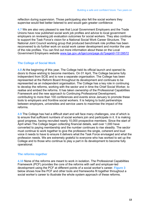reflection during supervision. Those participating also felt the social workers they supervise would feel better listened to and would gain greater confidence

**4.7** We are also very pleased to see that Local Government Employers and the Trade Unions have now published social work job profiles and advice to local government employers on reviewing job evaluation outcomes for social workers. They also continue to support the Task Force's vision for a National Social Work Career Structure. The National Joint Council working group that produced benchmark role profiles has been reconvened to do further work on social work career development and monitor the use of the role profiles. You can find out more information about these on the Local Government Employers website www.lge.gov.uk/lge/core/page.do?pageId=15139572

# **The College of Social Work**

**4.8** At the beginning of this year, The College held its official launch and opened its doors to those wishing to become members. On 01 April, The College became fully independent from SCIE and is now a separate organisation. The College has been represented at the Reform Board throughout its development and continues to be represented as an independent organisation. The College has a key role in continuing to develop the reforms, working with the sector and in time the Chief Social Worker, to realise and embed the reforms. It has taken ownership of the Professional Capabilities Framework and the new approach to Continuing Professional Development, contributing to more than 100 conferences and events since January to promote these tools to employers and frontline social workers. It is helping to build partnerships between employers, universities and service users to maximise the impact of the reforms.

**4.9** The College has had a difficult start and will face many challenges, one of which is to ensure that sufficient numbers of social workers join and participate in it. It is making good progress, having recruited nearly 10,000 prospective members. Since the start of April when The College began collecting financial details, well over 1,000 have converted to paying membership and the number continues to rise steadily. The sector must continue to work together to give the profession the single, coherent and loud voice it needs to have to ensure it delivers what the Task Force envisaged and what the profession needs. We are extremely grateful to everyone who has worked to set up the College and to those who continue to play a part in its development to become fully operational.

# **The reforms together**

**4.10** None of the reforms are meant to work in isolation. The Professional Capabilities Framework (PCF) provides the core of the reforms with self and employer-led development using the PCF at different points of a social worker's career. **Figure 3**  below shows how the PCF and other tools and frameworks fit together throughout a social worker's career to illustrate the whole system approach of these reforms.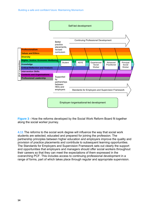

**Figure 3** - How the reforms developed by the Social Work Reform Board fit together along the social worker journey.

**4.11** The reforms to the social work degree will influence the way that social work students are selected, educated and prepared for joining the profession. The partnership principles between higher education and employers improve the quality and provision of practice placements and contribute to subsequent learning opportunities. The Standards for Employers and Supervision Framework sets out clearly the support and opportunities that employers and managers should offer social workers throughout their careers so that they can meet the expectations of them expressed in the overarching PCF. This includes access to continuing professional development in a range of forms, part of which takes place through regular and appropriate supervision.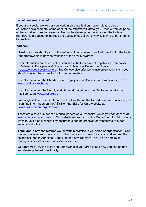#### **What can you do now?**

If you are a social worker, or you work in an organisation that employs, trains or educates social workers, some or all of the reforms will affect you. People from all parts of the social work sector were involved in the development and testing the tools and frameworks produced to improve the quality of social work. Now it is time to put them in to practice.

#### **You can:**

**Find out** more about each of the reforms. The main source of information for the tools and frameworks is now on websites of the new stewards:

For information on the education standards, the Professional Capabilities Framework, Partnership Principles and Continuous Professional Development go to www.collegeofsocialwork.org/ The College also offer workplace presentations and you should contact them directly for further information.

For information on the Standards for Employers and Supervision Framework go to www.local.gov.uk/home

For information on the Supply and Demand model go to the Centre for Workforce Intelligence at www.cfwi.org.uk

Although still held by the Department of Health and the Department for Education, you can find information on the ASYE on the Skills for Care website at www.skillsforcare.org.uk/asye/

There are also a number of historical papers on our website, which you can access at www.education.gov.uk/swrb Our website will remain on the Department for Education's website until a point where key documents can be archived or transferred to other suitable websites.

**Think about** how the reforms would work in practice in your area or organisation. Use the self assessment check lists on what the reforms mean for social workers and the sector included in Annexes C and D to see how ready you are, as an employer, manager or social worker, for social work reform.

**Get involved** - try the tools and frameworks in your area to see how you can embed and develop the reforms locally.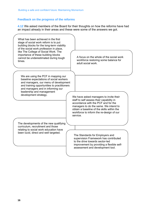# **Feedback on the progress of the reforms**

**4.12** We asked members of the Board for their thoughts on how the reforms have had

an impact already in their areas and these were some of the answers we got.<br>
What has been achieved in the first stage of social work reform is to put building blocks for the long-term viability of the social work profession in place, like The College of Social Work. The importance of these building blocks cannot be underestimated during tough times. A focus on the whole of the social work workforce restoring some balance for adult social work. We are using the PCF in mapping our baseline expectations of social workers and managers, our menu of development and training opportunities to practitioners and managers and in informing our leadership and management development strategy.<br>
We have asked managers to invite their staff to self assess their capability in accordance with the PCF and for the managers to do the same. We intend to obtain a baseline of the skills within the workforce to inform the re-design of our service. The developments of the new qualifying curriculum, recruitment and those relating to social work education have The Standards for Employers and supervision Framework has contributed to the drive towards sector-led improvement by providing a flexible selfassessment and development tool. been lucid, direct and well targeted.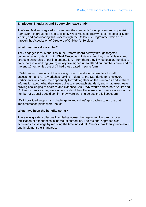#### **Employers Standards and Supervision case study**

The West Midlands agreed to implement the standards for employers and supervision framework. Improvement and Efficiency West Midlands (IEWM) took responsibility for leading and coordinating this work through the Children's Programme, which runs through the Association of Directors of Children's Services.

#### **What they have done so far?**

They engaged local authorities in the Reform Board activity through targeted communications, starting with Chief Executives. This ensured buy in at all levels and strategic ownership of our implementation. From there they invited local authorities to participate in a working group; initially five signed up to attend but numbers grew and by the end 12 authorities out of 14 had participated in some form.

IEWM ran two meetings of the working group, developed a template for self assessment and ran a workshop looking in detail at the Standards for Employers. Participants welcomed the opportunity to work together on the standards and to share information about what they were doing to meet each standard, and what areas were proving challenging to address and evidence. As IEWM works across both Adults and Children's Services they were able to extend the offer across both service areas, and a number of Councils could confirm they were working across the full spectrum.

IEWM provided support and challenge to authorities' approaches to ensure that implementation plans were robust.

#### **What have been the benefits so far?**

There was greater collective knowledge across the region resulting from crossfertilisation of experiences in individual authorities. The regional approach also achieved cost savings by reducing the time individual Councils took to fully understand and implement the Standards.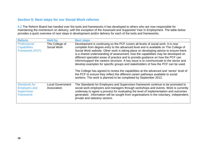# **Section 5: Next steps for our Social Work reforms**

**5.1** The Reform Board has handed over the tools and frameworks it has developed to others who are now responsible for maintaining the momentum on delivery, with the exception of the Assessed and Supported Year in Employment. The table below provides a quick overview of next steps in development and/or delivery for each of the tools and frameworks.

| <b>Reform</b>                                                                          | <b>Held by</b>                         | <b>Next steps</b>                                                                                                                                                                                                                                                                                                                                                                          |
|----------------------------------------------------------------------------------------|----------------------------------------|--------------------------------------------------------------------------------------------------------------------------------------------------------------------------------------------------------------------------------------------------------------------------------------------------------------------------------------------------------------------------------------------|
| Professional                                                                           | The College of                         | Development is continuing so the PCF covers all levels of social work. It is now                                                                                                                                                                                                                                                                                                           |
| <b>Capabilities</b>                                                                    | Social Work                            | complete from degree entry to the advanced level and is available on The College of                                                                                                                                                                                                                                                                                                        |
| Framework (PCF)                                                                        |                                        | Social Work website. Other work is taking place on developing advice to ensure there<br>is a shared understanding of assessment, how the capabilities may be developed on<br>different specialist areas of practice and to provide guidance on how the PCF can                                                                                                                             |
|                                                                                        |                                        | inform/support the careers structure. A key issue is to communicate to the sector and<br>develop examples for specific groups and stakeholders of how the PCF can be used.                                                                                                                                                                                                                 |
|                                                                                        |                                        | The College has agreed to review the capabilities at the advanced and 'senior' level of<br>the PCF to ensure they reflect the different career pathways available to social<br>workers. The work is planned to be completed by September 2012.                                                                                                                                             |
| <b>Standards for</b><br><b>Employers and</b><br><b>Supervision</b><br><b>Framework</b> | <b>Local Government</b><br>Association | The Standards for Employers and Supervision framework continue to be promoted to<br>social work employers and managers through workshops and events. Work is currently<br>underway to agree a process for evaluating the level of implementation and outcomes<br>generated. Information will be sought from organisations in the voluntary, independent,<br>private and statutory sectors. |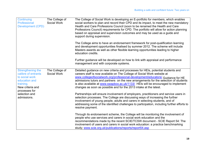| Continuing<br>Professional<br><b>Development (CPD)</b>                                                                                                        | The College of<br>Social Work | The College of Social Work is developing an E-portfolio for members, which enables<br>social workers to plan and record their CPD and its impact, to meet the new mandatory<br>Health and Care Professions Council (soon to be renamed the Health and Care<br>Professions Council) requirements for CPD. The portfolio will allow for action planning<br>based on appraisal and supervision outcomes and may be used as a guide and<br>support during supervision.                                                                                                                                                                                                                                                                                                                                                                                                              |
|---------------------------------------------------------------------------------------------------------------------------------------------------------------|-------------------------------|---------------------------------------------------------------------------------------------------------------------------------------------------------------------------------------------------------------------------------------------------------------------------------------------------------------------------------------------------------------------------------------------------------------------------------------------------------------------------------------------------------------------------------------------------------------------------------------------------------------------------------------------------------------------------------------------------------------------------------------------------------------------------------------------------------------------------------------------------------------------------------|
|                                                                                                                                                               |                               | The College aims to have an endorsement framework for post-qualification learning<br>and development opportunities finalised by summer 2012. The scheme will include<br>Masters awards as well as other flexible learning opportunities leading to higher<br>education credits.                                                                                                                                                                                                                                                                                                                                                                                                                                                                                                                                                                                                 |
|                                                                                                                                                               |                               | Further guidance will be developed on how to link with appraisal and performance<br>management and with corporate systems.                                                                                                                                                                                                                                                                                                                                                                                                                                                                                                                                                                                                                                                                                                                                                      |
| Strengthening the<br>calibre of entrants<br>to social work<br>education and<br>training.<br>New criteria and<br>processes for<br>selection and<br>admissions. | The College of<br>Social Work | Detailed guidance on new criteria and processes for HEIs, potential students and<br>careers staff is now available on The College of Social Work website at<br>www.collegeofsocialwork.org/professional-development/educators/ Guidance for HE<br>admissions tutors and partners on the new arrangements for the selection of students<br>is also available at www.swapbox.ac.uk/1133/ HEIs will be encouraged to implement<br>changes as soon as possible and for the 2013 intake at the latest.<br>Partnerships will ensure involvement of employers, practitioners and service users in<br>selection processes. The College are discussing ways of increasing the further<br>involvement of young people, adults and carers in selecting students, and of<br>addressing some of the identified challenges to participation, including further efforts to<br>resolve payment. |
|                                                                                                                                                               |                               | Through its endorsement scheme, the College will be monitoring the involvement of<br>people who use services and carers in social work education and the<br>recommendations made by the recent SCIE/TCSW document - SCIE Report 54: The<br>involvement of users and carers in social work education: a practice benchmarking<br>study; www.scie.org.uk/publications/reports/report54.asp                                                                                                                                                                                                                                                                                                                                                                                                                                                                                        |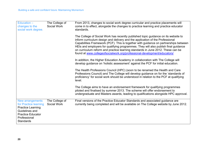| Education -<br>changes to the<br>social work degree.                                                                                                    | The College of<br>Social Work | From 2013, changes to social work degree curricular and practice placements will<br>come in to effect, alongside the changes to practice learning and practice educator<br>standards.                                                                                                                                                                                                                                                                                                                             |
|---------------------------------------------------------------------------------------------------------------------------------------------------------|-------------------------------|-------------------------------------------------------------------------------------------------------------------------------------------------------------------------------------------------------------------------------------------------------------------------------------------------------------------------------------------------------------------------------------------------------------------------------------------------------------------------------------------------------------------|
|                                                                                                                                                         |                               | The College of Social Work has recently published topic guidance on its website to<br>inform curriculum design and delivery and the application of the Professional<br>Capabilities Framework (PCF). This is together with guidance on partnerships between<br>HEIs and employers for qualifying programmes. They will also publish final guidance<br>on curriculum reform and practice learning standards in June 2012. These can be<br>found at www.collegeofsocialwork.org/professional-development/educators/ |
|                                                                                                                                                         |                               | In addition, the Higher Education Academy in collaboration with The College will<br>develop guidance on 'holistic assessment' against the PCF for initial education.                                                                                                                                                                                                                                                                                                                                              |
|                                                                                                                                                         |                               | The Health Professions Council (HPC) (soon to be renamed the Health and Care<br>Professions Council) and The College will develop guidance on for the 'standards of<br>proficiency' for social work should be understood in relation to the PCF at qualifying<br>level.                                                                                                                                                                                                                                           |
|                                                                                                                                                         |                               | The College aims to have an endorsement framework for qualifying programmes<br>piloted and finalised by summer 2013. The scheme will offer endorsement to<br>undergraduate and Masters awards, leading to qualifications alongside HPC approval.                                                                                                                                                                                                                                                                  |
| New arrangements<br>for Practice learning<br><b>Practice Learning</b><br>Guidelines and<br><b>Practice Educator</b><br>Professional<br><b>Standards</b> | The College of<br>Social Work | Final versions of the Practice Educator Standards and associated guidance are<br>currently being completed and will be available on The College website by June 2012.                                                                                                                                                                                                                                                                                                                                             |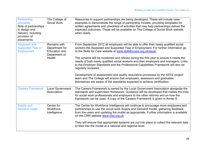| Partnership<br>principles<br>Role of partnerships<br>in design and<br>delivery, including<br>provision of<br>placements. | The College of<br>Social Work                                                            | Resources to support partnerships are being developed. These will include case<br>examples to demonstrate the range of partnership models, providing templates for<br>written agreements and checklists of activities that may help partnerships deliver the<br>expected outcomes. These will be available on The College of Social Work website<br>when ready.                                                                                                                                                      |
|--------------------------------------------------------------------------------------------------------------------------|------------------------------------------------------------------------------------------|----------------------------------------------------------------------------------------------------------------------------------------------------------------------------------------------------------------------------------------------------------------------------------------------------------------------------------------------------------------------------------------------------------------------------------------------------------------------------------------------------------------------|
| <b>Assessed and</b><br><b>Supported Year in</b><br><b>Employment</b>                                                     | Remains with<br>Department for<br><b>Education and</b><br>Department of<br><b>Health</b> | From September 2012 all employers will be able to offer their newly qualified social<br>workers the Assessed and Supported Year in Employment. For further information go<br>to the Skills for Care website at www.skillsforcare.org.uk/asye/<br>The scheme will be monitored and refined during the first year to ensure it meets the<br>needs of both newly qualified social workers and their employers and managers. Links<br>to the Employer Standards and the Professional Capabilities Framework will also be |
|                                                                                                                          |                                                                                          | regularly reviewed.<br>Development of assessment and quality assurance processes by the ASYE project<br>team and The College will ensure that employers, assessors and graduates<br>themselves are aware of the standards expected to achieve certification.                                                                                                                                                                                                                                                         |
| <b>Careers Framework</b>                                                                                                 | <b>Local Government</b><br>Association                                                   | The Careers Framework is owned by the Local Government Association alongside the<br>standards and supervision framework. Guidance will be developed that makes the links<br>for social work professionals and employers to the other reforms and on how the<br>framework can be used. A copy of the Careers Framework is given in Annex E.                                                                                                                                                                           |
| <b>Supply and</b><br><b>Demand model</b>                                                                                 | Centre for<br>Workforce<br>Intelligence                                                  | The Centre for Workforce Intelligence will continue to encourage more employers and<br>partnerships to use the social work Supply and Demand model, gathering feedback<br>from the users and updating the model as appropriate. Further information is available<br>on the CfWI website www.cfwi.org.uk                                                                                                                                                                                                              |
|                                                                                                                          |                                                                                          | They will ensure that appropriate systems are put into place to collect the relevant data<br>to feed into the model at a national and regional level.                                                                                                                                                                                                                                                                                                                                                                |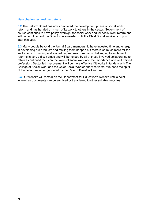#### **New challenges and next steps**

**5.2** The Reform Board has now completed the development phase of social work reform and has handed on much of its work to others in the sector. Government of course continues to have policy oversight for social work and for social work reform and will no doubt consult the Board where needed until the Chief Social Worker is in post later this year.

**5.3** Many people beyond the formal Board membership have invested time and energy in developing our products and making them happen but there is so much more for the sector to do in owning and embedding reforms. It remains challenging to implement reforms in very difficult times and will be helped by all of those involved collaborating to retain a continued focus on the value of social work and the importance of a well trained profession. Sector led improvement will be more effective if it works in tandem with The College of Social Work and the Chief Social Worker and vice versa. We hope the spirit of the collaboration engendered by the Reform Board will endure.

**5.4** Our website will remain on the Department for Education's website until a point where key documents can be archived or transferred to other suitable websites.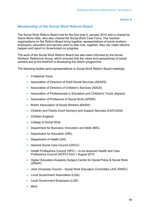**Annex A** 

# **Membership of the Social Work Reform Board**

The Social Work Reform Board met for the first time in January 2010 and is chaired by Dame Moira Gibb, who also chaired the Social Work Task Force. The member organisations on the Reform Board bring together representatives of social workers, employers, educators and service users to plan how, together, they can make reforms happen and report to Government on progress.

The work of the Social Work Reform Board has also been informed by the Social Workers' Reference Group, which ensured that the views and perspectives of social workers are at the forefront in developing the reform programme.

The following bodies send representatives to Social Work Reform Board meetings:

- A National Voice
- Association of Directors of Adult Social Services (ADASS)
- Association of Directors of Children's Services (ADCS)
- Association of Professionals in Education and Children's Trusts (Aspect)
- Association of Professors of Social Work (APSW)
- **•** British Association of Social Workers (BASW)
- Children and Family Court Advisory and Support Services (CAFCASS)
- Children England
- College of Social Work
- Department for Business, Innovation and Skills (BIS)
- Department for Education (DfE)
- Department of Health (DH)
- General Social Care Council (GSCC)
- Health Professions Council (HPC) to be renamed Health and Care Professions Council (HCPC) from 1 August 2012
- Higher Education Academy Subject Centre for Social Policy & Social Work (SWAP)
- Joint University Council Social Work Education Committee (JUC-SWEC)
- Local Government Association (LGA)
- Local Government Employers (LGE)
- Mind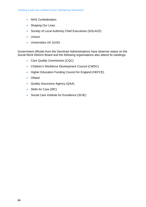- NHS Confederation
- Shaping Our Lives
- Society of Local Authority Chief Executives (SOLACE)
- Unison
- Universities UK (UUK)

Government officials from the Devolved Administrations have observer status on the Social Work Reform Board and the following organisations also attend its meetings:

- Care Quality Commission (CQC)
- Children's Workforce Development Council (CWDC)
- Higher Education Funding Council for England (HEFCE)
- Ofsted
- Quality Assurance Agency (QAA)
- Skills for Care (SfC)
- Social Care Institute for Excellence (SCIE)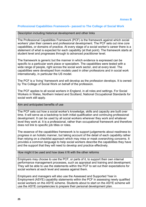# **Professional Capabilities Framework– passed to The College of Social Work**

# Description including historical development and other links

The Professional Capabilities Framework (PCF) is the framework against which social workers' plan their careers and professional development. The PCF sets out nine core capabilities, or domains of practice. At every stage of a social worker's career there is a statement of what is expected for each capability (at that point). The framework starts at student level and progresses through to advanced practitioner level.

The framework is generic but the manner in which evidence is expressed can be specific to a particular work place or specialism. The capabilities were tested with a wide range of people, right across the social work sector, and at every level. The capabilities were developed from models used in other professions and in social work internationally, in particular the US model.

The PCF is a 'living' framework and will develop as the profession develops. It is owned by The College of Social Work on behalf of the profession.

The PCF applies to all social workers in England, in all roles and settings. For Social Workers in Wales, Northern Ireland and Scotland, National Occupational Standards for social work still apply.

# Aim and anticipated benefits of use

The PCF sets out how a social worker's knowledge, skills and capacity are built over time. It will serve as a backdrop to both initial qualification and continuing professional development. It can be used by all social workers wherever they work and whatever level they work at. It is a professional, rather than occupational framework and therefore does not link to specific job titles or roles.

The essence of the capabilities framework is to support judgements about readiness to progress in an holistic manner, but taking account of the detail of each capability rather than relying on a checklist approach which may miss or mask overarching concerns. It provides a common language to help social workers describe the capabilities they have and the support that they will need to develop and practice effectively.

How might it be used and how does it fit with the other reforms

Employers may choose to use the PCF, or parts of it, to support their own internal performance management processes, such as appraisal and training and development. They will be able to use the statements within the PCF to set out their expectations for social workers at each level and assess against them.

Employers and managers will also use the Assessed and Supported Year in Employment (ASYE) capability statements within the PCF in assessing newly qualified social workers on the ASYE scheme. Students about to start on the ASYE scheme will use the ASYE competencies to prepare their personal development plan.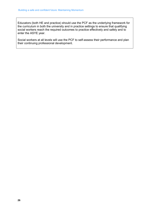Educators (both HE and practice) should use the PCF as the underlying framework for the curriculum in both the university and in practice settings to ensure that qualifying social workers reach the required outcomes to practice effectively and safely and to enter the ASYE year.

Social workers at all levels will use the PCF to self-assess their performance and plan their continuing professional development.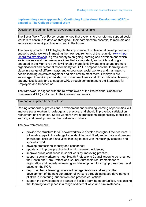# **Implementing a new approach to Continuing Professional Development (CPD) – passed to The College of Social Work**

Description including historical development and other links

The Social Work Task Force recommended that systems to promote and support social workers to continue to develop throughout their careers were essential to maintain and improve social work practice, now and in the future.

The new approach to CPD highlights the importance of professional development and supports social workers in meeting the new requirements of the regulator (www.hpcuk.org/registrants/cpd). It gives priority to on-going learning and development, which social workers and their managers identified as important, and which is strongly endorsed in the Munro review. It will enable more flexibility and choice and promote organisational and personal responsibility for CPD. It emphasises that learning takes place in a range of different ways and encourages social workers and managers to decide learning objectives together and plan how to meet them. Employers are encouraged to work in partnership with other employers and HEIs to develop learning opportunities locally and to support CPD through commitment to the Standards for Employers and Supervision.

The framework is aligned with the relevant levels of the Professional Capabilities Framework (PCF) and linked to the Careers Framework.

Aim and anticipated benefits of use

Raising standards of professional development and widening learning opportunities will improve social workers knowledge and practice, and should improve job satisfaction, recruitment and retention. Social workers have a professional responsibility to facilitate learning and development for themselves and others.

The new framework will:

- provide the structure for all social workers to develop throughout their careers. It will enable gaps in knowledge to be identified and filled, and update and deepen knowledge, skills and analytical thinking to deal with increasingly complex and specialist work;
- develop professional identity and confidence;
- update and improve practice in line with research evidence;
- improve public confidence in social work by improving practice;
- support social workers to meet Health Professions Council (soon to be renamed the Health and Care Professions Council) threshold requirements for reregistration and undertake learning and development to a high professional level based on the PCF;
- help to embed a learning culture within organisations and support the development of the next generation of workers through increased development of skills in mentoring, supervision and practice education;
- support the development of a range of flexible learning opportunities, recognising that learning takes place in a range of different ways and circumstances,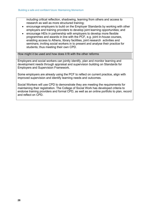research as well as more structured training; including critical reflection, shadowing, learning from others and access to

- encourage employers to build on the Employer Standards by working with other employers and training providers to develop joint learning opportunities; and
- encourage HEIs in partnership with employers to develop more flexible programmes and awards in line with the PCF, e.g. joint in-house courses, enabling access to Athens, library facilities, joint research activities and seminars; inviting social workers in to present and analyse their practice for students; thus meeting their own CPD.

How might it be used and how does it fit with the other reforms

Employers and social workers can jointly identify, plan and monitor learning and development needs through appraisal and supervision building on Standards for Employers and Supervision Framework.

Some employers are already using the PCF to reflect on current practice, align with improved supervision and identify learning needs and outcomes.

Social Workers will use CPD to demonstrate they are meeting the requirements for maintaining their registration. The College of Social Work has developed criteria to endorse training providers and formal CPD, as well as an online portfolio to plan, record and reflect on CPD.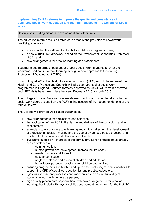# **Implementing SWRB reforms to improve the quality and consistency of qualifying social work education and training - passed to The College of Social Work**

# Description including historical development and other links

The education reforms focus on three core areas of the provision of social work qualifying education:

- strengthening the calibre of entrants to social work degree courses;
- a new curriculum framework, based on the Professional Capabilities Framework (PCF); and
- new arrangements for practice learning and placements.

Together these reforms should better prepare social work students to enter the workforce, and continue their learning through a new approach to Continuing Professional Development (CPD).

From 1 August 2012, the Health Professions Council (HPC, soon to be renamed the Health and Care Professions Council) will take over approval of social work programmes in England. Courses formerly approved by GSCC will remain approved until HPC visits have taken place between February 2013 and July 2015.

The College of Social Work will oversee development of and promote reforms to the social work degree (based on the PCF) taking account of the recommendations of the Munro Review.

The College will provide web based guidance on:

- new arrangements for admissions and selection;
- the application of the PCF in the design and delivery of the curriculum and in assessment;
- examplars to encourage active learning and critical reflection, the development of professional decision making and the use of evidenced-based practice, and which reflect the values and ethics of social work;
- illustrative guides on key areas of the curriculum. Seven of these have already been developed on:
	- communication;
	- human growth and development (across the life-span);
	- mental distress and ill-health;
	- substance misuse:
	- neglect, violence and abuse of children and adults; and
	- behavioural/parenting problems for children and families.
- ensuring programmes are flexible and up to date, including recommendations to support the CPD of social work academics and practice educators;
- rigorous assessment processes and mechanisms to ensure suitability of students to work with vulnerable people;
- high quality placements opportunities, with new arrangements for practice learning, that include 30 days for skills development and criteria for the first (70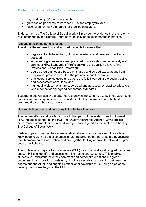day) and last (100 day) placements;

- guidance on partnerships between HEIs and employers; and
- national benchmark standards for practice educators.

Endorsement by The College of Social Work will provide the evidence that the reforms recommended by the Reform Board have actually been implemented in practice.

Aim and anticipated benefits of use

The aim of the reforms to social work education is to ensure that :

- degree entrants have the right mix of academic and personal qualities to succeed;
- social work graduates are well prepared to work safely and effectively and can meet HPC Standards of Proficiency and the qualifying level of the Professional Capabilities Framework.;
- degree programmes are based on shared and agreed expectations from employers, practitioners, HEI, the profession and Government;
- employers, service users and carers are fully involved in the design, delivery and assessment of courses; and
- high quality placements are supervised and assessed by practice educators who meet nationally agreed benchmark standards.

Together these will achieve greater consistency in the content, quality and outcomes of courses so that everyone can have confidence that social workers are the best prepared they can be to start work.

How might it be used and how does it fit with the other reforms

The degree affects and is affected by all other parts of the system needing to meet HPC threshold standards, the PCF, the Quality Assurance Agency (QAA) subject benchmark statement for social work and guidance agreed by the sector and held by The College of Social Work.

Partnerships ensure that the degree enables students to graduate with the skills and knowledge to work as effective practitioners. Established partnerships are negotiating their Memoranda of Cooperation and are together looking at how Social Work Degree courses will change.

The Professional Capabilities Framework (PCF) for social work qualifying education will support HEIs to identify and assess learning needs and outcomes. This enables students to understand how they can meet and demonstrate nationally agreed outcomes, thus improving consistency. It will also establish a clear link between the degree and the ASYE and ongoing professional development, building on personal development plans begun in the HEI.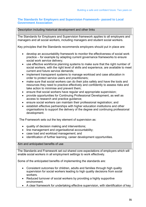# **The Standards for Employers and Supervision Framework– passed to Local Government Association**

| Description including historical development and other links                                                                                                                                                                                                             |
|--------------------------------------------------------------------------------------------------------------------------------------------------------------------------------------------------------------------------------------------------------------------------|
| The Standards for Employers and Supervision framework applies to all employers and<br>managers and all social workers, including managers and student social workers.                                                                                                    |
| Key principles that the Standards recommends employers should put in place are:                                                                                                                                                                                          |
| develop an accountability framework to monitor the effectiveness of social work<br>practice – for example by adapting current governance frameworks to ensure<br>social work service delivery;                                                                           |
| use effective workforce planning systems to make sure that the right number of<br>social workers, with the right level of skills and experience, are available to meet<br>current and future service demands;                                                            |
| implement transparent systems to manage workload and case allocation in<br>$\bullet$<br>order to protect service users and practitioners;                                                                                                                                |
| make sure that social workers can do their jobs safely and have the tools and<br>resources they need to practice effectively and confidently to assess risks and<br>take action to minimise and prevent them;                                                            |
| ensure that social workers have regular and appropriate supervision;<br>$\bullet$<br>provide opportunities for Continuing Professional Development, as well as<br>$\bullet$<br>access to research and practice guidance;                                                 |
| ensure social workers can maintain their professional registration; and<br>establish effective partnerships with higher education institutions and other<br>$\bullet$<br>organisations to support the delivery of the degree and continuing professional<br>development. |
| The Framework sets out the key element of supervision as:                                                                                                                                                                                                                |
| quality of decision making and interventions;<br>$\bullet$<br>line management and organisational accountability;<br>$\bullet$<br>case load and workload management; and<br>identification of further learning, career development opportunities.                         |
| Aim and anticipated benefits of use                                                                                                                                                                                                                                      |
| The Standards and Framework set out shared core expectations of employers which will<br>enable social workers in all employment settings to work effectively.                                                                                                            |
| Some of the anticipated benefits of implementing the standards are:                                                                                                                                                                                                      |
| Consistent outcomes for children, adults and families through high quality<br>٠<br>supervision for social workers leading to high quality decisions from social<br>workers.                                                                                              |

- Reduced turnover of social workers by providing a highly supportive environment.
- A clear framework for undertaking effective supervision, with identification of key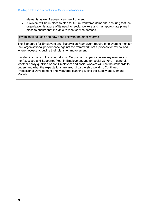elements as well frequency and environment.

 A system will be in place to plan for future workforce demands, ensuring that the organisation is aware of its need for social workers and has appropriate plans in place to ensure that it is able to meet service demand.

How might it be used and how does it fit with the other reforms

The Standards for Employers and Supervision Framework require employers to monitor their organisational performance against the framework, set a process for review and, where necessary, outline their plans for improvement.

It underpins many of the other reforms. Support and supervision are key elements of the Assessed and Supported Year in Employment and for social workers in general, whether newly qualified or not. Employers and social workers will use the standards to understand what the expectations are around partnership working, Continued Professional Development and workforce planning (using the Supply and Demand Model).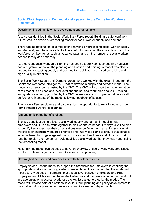# **Social Work Supply and Demand Model – passed to the Centre for Workforce Intelligence**

#### Description including historical development and other links

A key area identified in the Social Work Task Force report 'Building a safe, confident future' was to develop a forecasting model for social worker supply and demand.

There was no national or local model for analysing or forecasting social worker supply and demand, and there was a lack of detailed information on the characteristics of the workforce, on key trends such as vacancy rates, and on the number of social workers needed locally and nationally.

As a consequence, workforce planning has been severely constrained. This has also had a negative impact on the planning of education and training. A model was clearly needed for forecasting supply and demand for social workers based on reliable and high quality information.

The Social Work Supply and Demand group have worked with the expert input from the Centre for Workforce Intelligence (CfWI) to develop a supply and demand model. The model is currently being hosted by the CfWI. The CfWI will support the implementation of the model to be used at a local level and the national workforce analysis. Training and guidance is being provided by the CfWI to ensure smooth implementation as well as further refinements of the model following feedback of its use.

The model offers employers and partnerships the opportunity to work together on long terms strategic workforce planning.

# Aim and anticipated benefits of use

The key benefit of using a local social work supply and demand model is that employers and HEIs can work together to plan workforce needs. Employers will be able to identify key issues that their organisations may be facing, e.g. an aging social work workforce or changing workforce priorities and thus make plans to ensure that suitable action is taken to mitigate against the circumstances. Employers and HEIs can work together to plan the number of newly qualified social workers that they may need, using the forecasting model.

Nationally the model can be used to have an overview of social work workforce issues to inform national organisations and Government in planning.

How might it be used and how does it fit with the other reforms

Employers can use the model to support the Standards for Employers in ensuring that appropriate workforce planning systems are in place. It is expected that the model will most usefully be used in partnership at a local level between employers and HEIs. Employers and HEIs can use the model to discuss and plan workforce demand and put in place suitable measures to address the key issues generated by the model. The model will provide data at a national level to inform planning and policy development In national workforce planning organisations, and Government departments.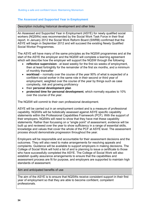# **The Assessed and Supported Year in Employment**

Description including historical development and other links

An Assessed and Supported Year in Employment (ASYE) for newly qualified social workers (NQSWs) was recommended by the Social Work Task Force in their final report. In January 2012 the Social Work Reform Board (SWRB) confirmed that the ASYE will begin in September 2012 and will succeed the existing Newly Qualified Social Worker Programmes.

The ASYE will have many of the same principles as the NQSW programmes and at the start of the ASYE the employer and the NQSW will complete a learning agreement which will describe how the employer will support the NQSW through the following:

- **reflective supervision**  at least weekly for the first six weeks of employment, then at least fortnightly for the remainder of the first six months, and a minimum of monthly thereafter
- **workload**  normally over the course of the year 90% of what is expected of a confident social worker in the same role in their second or third year of employment, weighted over the course of the year by things such as case complexity, risk and growing proficiency
- their **personal development plan**
- **protected time for personal development**, which normally equates to 10% over the course of the year.

The NQSW will commit to their own professional development.

ASYE will be carried out in an employment context and is a measure of professional capability. NQSWs will be holistically assessed against ASYE specific capability statements within the Professional Capabilities Framework (PCF). With the support of their employers, NQSWs will need to show that they have met these capability statements. Rather than focussing on a "single point" of assessment, evidence will be built up and reviewed over the year to show sufficiency in a range of essential skills, knowledge and values that cover the whole of the PCF at ASYE level. The assessment process should demonstrate progression throughout the year.

Employers will be responsible and accountable for their assessment decisions and the outcomes. They will also need to make arrangements for resolving appeals and complaints. Guidance will be available to support employers in making decisions. The College of Social Work will hold a list of and is planning to issue a certificate to those who have successfully completed the ASYE. The College of Social Work will also establish quality assurance arrangements to ensure that the capabilities and assessment process are fit for purpose, and employers are supported to maintain high standards of assessment.

Aim and anticipated benefits of use

The aim of the ASYE is to ensure that NQSWs receive consistent support in their first year of employment so that they are able to become confident, competent professionals.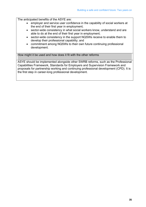The anticipated benefits of the ASYE are:

- employer and service user confidence in the capability of social workers at the end of their first year in employment;
- sector-wide consistency in what social workers know, understand and are able to do at the end of their first year in employment;
- sector-wide consistency in the support NQSWs receive to enable them to develop their professional capability; and
- commitment among NQSWs to their own future continuing professional development.

How might it be used and how does it fit with the other reforms

ASYE should be implemented alongside other SWRB reforms, such as the Professional Capabilities Framework, Standards for Employers and Supervision Framework and proposals for partnership working and continuing professional development (CPD). It is the first step in career-long professional development.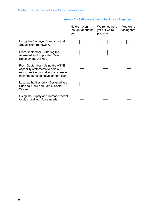# **Annex C - Self assessment check list - Employer**

|                                                                                                                                                         | No we haven't<br>thought about that<br>yet | We're not there<br>yet but we're<br>preparing | Yes we're<br>doing that |
|---------------------------------------------------------------------------------------------------------------------------------------------------------|--------------------------------------------|-----------------------------------------------|-------------------------|
| Using the Employer Standards and<br>Supervision framework.                                                                                              |                                            |                                               |                         |
| From September - Offering the<br>Assessed and Supported Year in<br>Employment (ASYE).                                                                   |                                            |                                               |                         |
| From September - Using the ASYE<br>capability statements to help our<br>newly qualified social workers create<br>their first personal development plan. |                                            |                                               |                         |
| Local authorities only - Designating a<br><b>Principal Child and Family Social</b><br>Worker.                                                           |                                            |                                               |                         |
| Using the Supply and Demand model<br>to plan local workforce needs.                                                                                     |                                            |                                               |                         |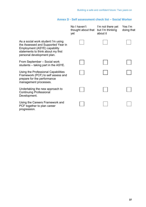# **Annex D - Self assessment check list – Social Worker**

|                                                                                                                                                                              | No I haven't<br>thought about that<br>yet | I'm not there yet<br>but I'm thinking<br>about it | Yes I'm<br>doing that |
|------------------------------------------------------------------------------------------------------------------------------------------------------------------------------|-------------------------------------------|---------------------------------------------------|-----------------------|
| As a social work student I'm using<br>the Assessed and Supported Year in<br>Employment (ASYE) capability<br>statements to think about my first<br>personal development plan. |                                           |                                                   |                       |
| From September - Social work<br>students – taking part in the ASYE.                                                                                                          |                                           |                                                   |                       |
| Using the Professional Capabilities<br>Framework (PCF) to self assess and<br>prepare for the performance<br>management processes.                                            |                                           |                                                   |                       |
| Undertaking the new approach to<br><b>Continuing Professional</b><br>Development.                                                                                            |                                           |                                                   |                       |
| Using the Careers Framework and<br>PCF together to plan career<br>progression.                                                                                               |                                           |                                                   |                       |
|                                                                                                                                                                              |                                           |                                                   |                       |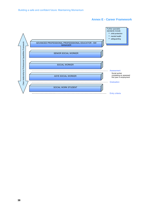# **Annex E - Career Framework**